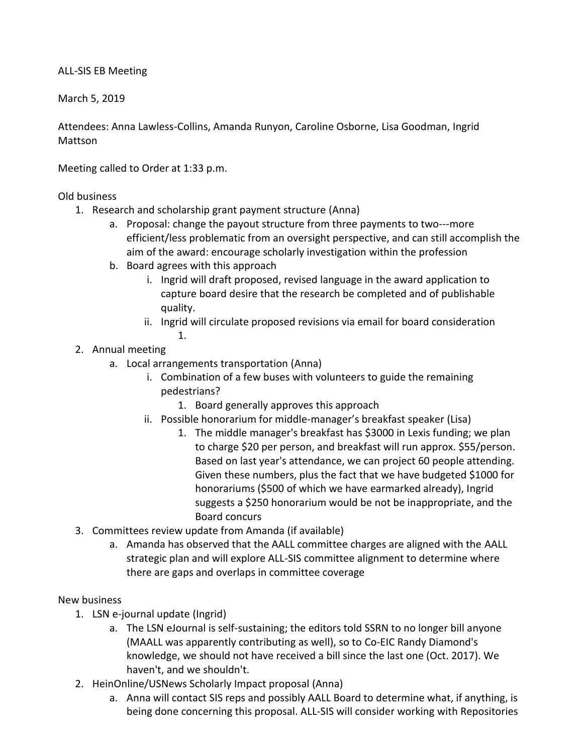## ALL-SIS EB Meeting

March 5, 2019

Attendees: Anna Lawless-Collins, Amanda Runyon, Caroline Osborne, Lisa Goodman, Ingrid Mattson

Meeting called to Order at 1:33 p.m.

Old business

- 1. Research and scholarship grant payment structure (Anna)
	- a. Proposal: change the payout structure from three payments to two---more efficient/less problematic from an oversight perspective, and can still accomplish the aim of the award: encourage scholarly investigation within the profession
	- b. Board agrees with this approach
		- i. Ingrid will draft proposed, revised language in the award application to capture board desire that the research be completed and of publishable quality.
		- ii. Ingrid will circulate proposed revisions via email for board consideration
			- 1.
- 2. Annual meeting
	- a. Local arrangements transportation (Anna)
		- i. Combination of a few buses with volunteers to guide the remaining pedestrians?
			- 1. Board generally approves this approach
		- ii. Possible honorarium for middle-manager's breakfast speaker (Lisa)
			- 1. The middle manager's breakfast has \$3000 in Lexis funding; we plan to charge \$20 per person, and breakfast will run approx. \$55/person. Based on last year's attendance, we can project 60 people attending. Given these numbers, plus the fact that we have budgeted \$1000 for honorariums (\$500 of which we have earmarked already), Ingrid suggests a \$250 honorarium would be not be inappropriate, and the Board concurs
- 3. Committees review update from Amanda (if available)
	- a. Amanda has observed that the AALL committee charges are aligned with the AALL strategic plan and will explore ALL-SIS committee alignment to determine where there are gaps and overlaps in committee coverage

## New business

- 1. LSN e-journal update (Ingrid)
	- a. The LSN eJournal is self-sustaining; the editors told SSRN to no longer bill anyone (MAALL was apparently contributing as well), so to Co-EIC Randy Diamond's knowledge, we should not have received a bill since the last one (Oct. 2017). We haven't, and we shouldn't.
- 2. HeinOnline/USNews Scholarly Impact proposal (Anna)
	- a. Anna will contact SIS reps and possibly AALL Board to determine what, if anything, is being done concerning this proposal. ALL-SIS will consider working with Repositories